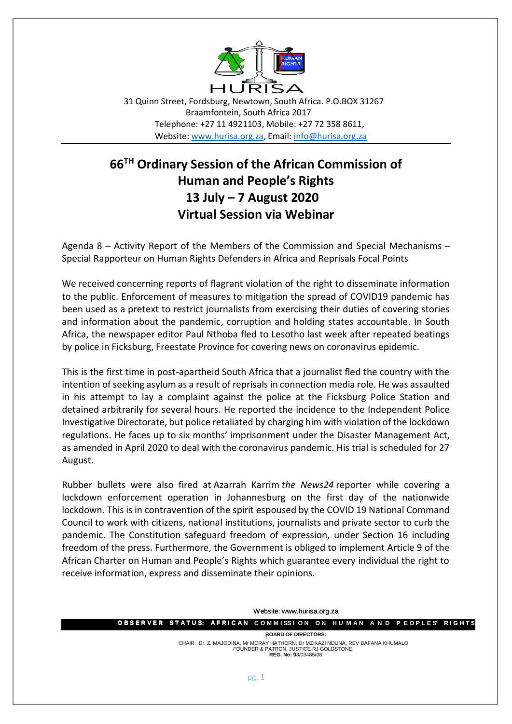

31 Quinn Street, Fordsburg, Newtown, South Africa. P.O.BOX 31267 Braamfontein, South Africa 2017 Telephone: +27 11 4921103, Mobile: +27 72 358 8611, Website[: www.hurisa.org.za,](http://www.hurisa.org.za/) Email[: info@hurisa.org.za](mailto:info@hurisa.org.za)

## **66TH Ordinary Session of the African Commission of Human and People's Rights 13 July – 7 August 2020 Virtual Session via Webinar**

Agenda 8 – Activity Report of the Members of the Commission and Special Mechanisms – Special Rapporteur on Human Rights Defenders in Africa and Reprisals Focal Points

We received concerning reports of flagrant violation of the right to disseminate information to the public. Enforcement of measures to mitigation the spread of COVID19 pandemic has been used as a pretext to restrict journalists from exercising their duties of covering stories and information about the pandemic, corruption and holding states accountable. In South Africa, the newspaper editor Paul Nthoba fled to Lesotho last week after repeated beatings by police in Ficksburg, Freestate Province for covering news on coronavirus epidemic.

This is the first time in post-apartheid South Africa that a journalist fled the country with the intention of seeking asylum as a result of reprisals in connection media role. He was assaulted in his attempt to lay a complaint against the police at the Ficksburg Police Station and detained arbitrarily for several hours. He reported the incidence to the Independent Police Investigative Directorate, but police retaliated by charging him with violation of the lockdown regulations. He faces up to six months' imprisonment under the Disaster Management Act, as amended in April 2020 to deal with the coronavirus pandemic. His trial is scheduled for 27 August.

Rubber bullets were also fired at Azarrah Karrim *the News24* reporter while covering a lockdown enforcement operation in Johannesburg on the first day of the nationwide lockdown. This is in contravention of the spirit espoused by the COVID 19 National Command Council to work with citizens, national institutions, journalists and private sector to curb the pandemic. The Constitution safeguard freedom of expression, under Section 16 including freedom of the press. Furthermore, the Government is obliged to implement Article 9 of the African Charter on Human and People's Rights which guarantee every individual the right to receive information, express and disseminate their opinions.

Website: www.hurisa.org.za

**O B S E R V E R S T A T U S: A F R I C A N C O M M I S S I O N O N H U M A N A N D P E O P L E S' R I G H T S O B S E R V E R S T A T U S: A F R I C A N '**

**: BOARD OF DIRECTORS:** CHAIR: Dr. Z. MAJODINA, Mr MORAY HATHORN; Dr MZIKAZI NDUNA, REV BAFANA KHUMALO . FOUNDER & PATRON: JUSTICE RJ GOLDSTONE; **REG. No:** 93/03485/08 9